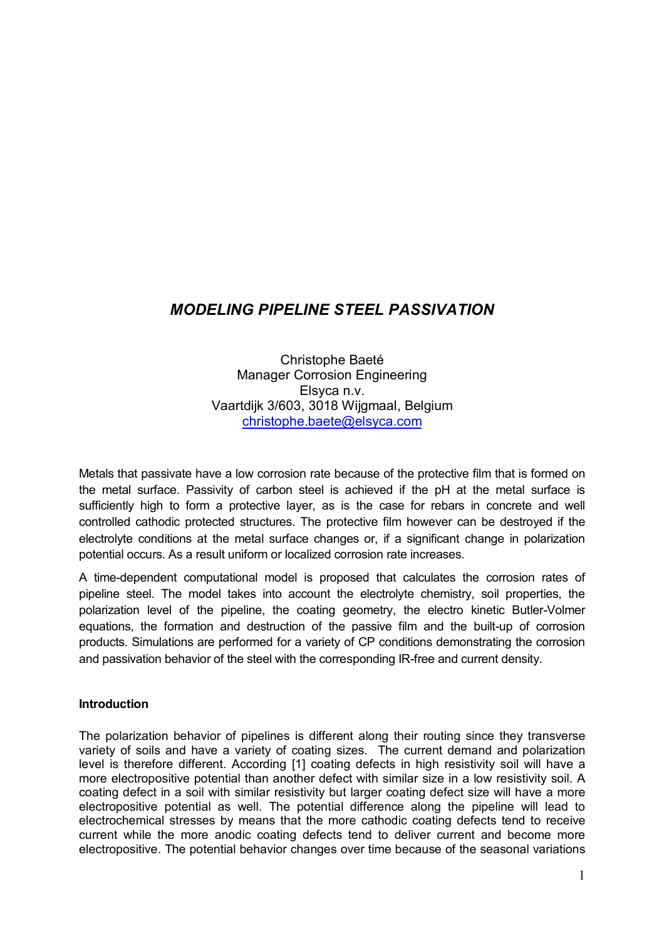# *MODELING PIPELINE STEEL PASSIVATION*

Christophe Baeté Manager Corrosion Engineering Elsyca n.v. Vaartdijk 3/603, 3018 Wijgmaal, Belgium christophe.baete@elsyca.com

Metals that passivate have a low corrosion rate because of the protective film that is formed on the metal surface. Passivity of carbon steel is achieved if the pH at the metal surface is sufficiently high to form a protective layer, as is the case for rebars in concrete and well controlled cathodic protected structures. The protective film however can be destroyed if the electrolyte conditions at the metal surface changes or, if a significant change in polarization potential occurs. As a result uniform or localized corrosion rate increases.

A time-dependent computational model is proposed that calculates the corrosion rates of pipeline steel. The model takes into account the electrolyte chemistry, soil properties, the polarization level of the pipeline, the coating geometry, the electro kinetic Butler-Volmer equations, the formation and destruction of the passive film and the built-up of corrosion products. Simulations are performed for a variety of CP conditions demonstrating the corrosion and passivation behavior of the steel with the corresponding IR-free and current density.

#### **Introduction**

The polarization behavior of pipelines is different along their routing since they transverse variety of soils and have a variety of coating sizes. The current demand and polarization level is therefore different. According [1] coating defects in high resistivity soil will have a more electropositive potential than another defect with similar size in a low resistivity soil. A coating defect in a soil with similar resistivity but larger coating defect size will have a more electropositive potential as well. The potential difference along the pipeline will lead to electrochemical stresses by means that the more cathodic coating defects tend to receive current while the more anodic coating defects tend to deliver current and become more electropositive. The potential behavior changes over time because of the seasonal variations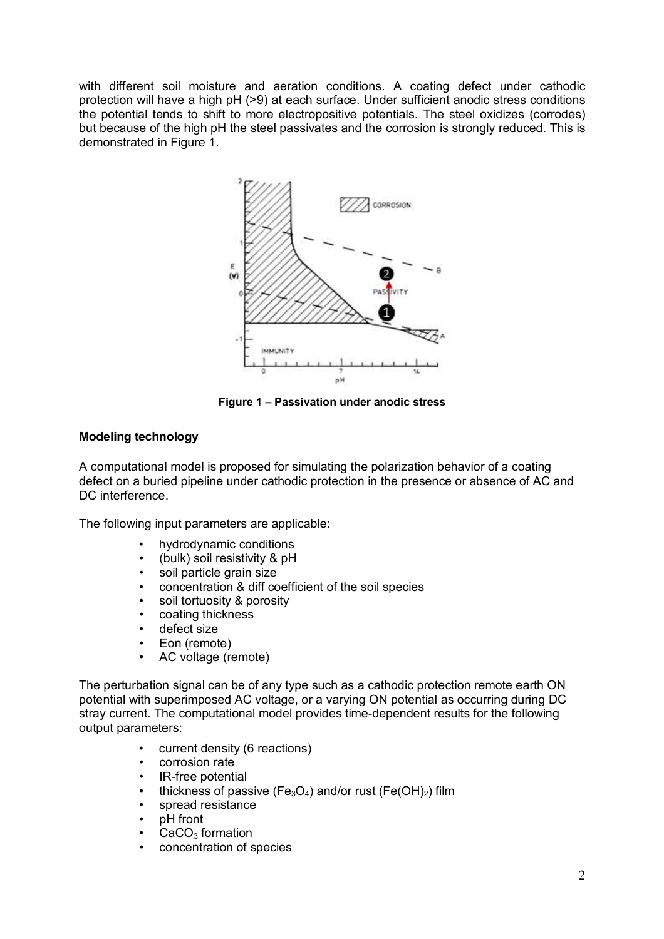with different soil moisture and aeration conditions. A coating defect under cathodic protection will have a high pH (>9) at each surface. Under sufficient anodic stress conditions the potential tends to shift to more electropositive potentials. The steel oxidizes (corrodes) but because of the high pH the steel passivates and the corrosion is strongly reduced. This is demonstrated in Figure 1.



**Figure 1 – Passivation under anodic stress** 

### **Modeling technology**

A computational model is proposed for simulating the polarization behavior of a coating defect on a buried pipeline under cathodic protection in the presence or absence of AC and DC interference.

The following input parameters are applicable:

- hydrodynamic conditions
- (bulk) soil resistivity & pH
- soil particle grain size
- concentration & diff coefficient of the soil species
- soil tortuosity & porosity
- coating thickness
- defect size
- Eon (remote)
- AC voltage (remote)

The perturbation signal can be of any type such as a cathodic protection remote earth ON potential with superimposed AC voltage, or a varying ON potential as occurring during DC stray current. The computational model provides time-dependent results for the following output parameters:

- current density (6 reactions)
- corrosion rate
- IR-free potential
- thickness of passive (Fe<sub>3</sub>O<sub>4</sub>) and/or rust (Fe(OH)<sub>2</sub>) film
- spread resistance
- pH front
- $CaCO<sub>3</sub>$  formation
- concentration of species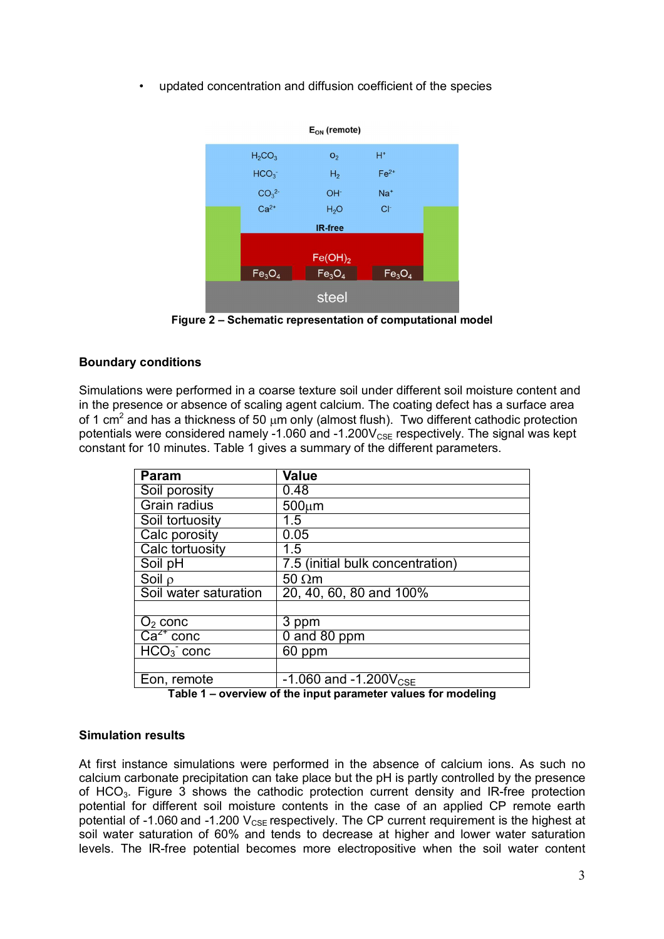updated concentration and diffusion coefficient of the species



**Figure 2 – Schematic representation of computational model** 

### **Boundary conditions**

Simulations were performed in a coarse texture soil under different soil moisture content and in the presence or absence of scaling agent calcium. The coating defect has a surface area of 1 cm<sup>2</sup> and has a thickness of 50  $\mu$ m only (almost flush). Two different cathodic protection potentials were considered namely -1.060 and -1.200 $V_{CSF}$  respectively. The signal was kept constant for 10 minutes. Table 1 gives a summary of the different parameters.

| <b>Param</b>          | <b>Value</b>                           |
|-----------------------|----------------------------------------|
| Soil porosity         | 0.48                                   |
| Grain radius          | $500 \mu m$                            |
| Soil tortuosity       | 1.5                                    |
| Calc porosity         | 0.05                                   |
| Calc tortuosity       | 1.5                                    |
| Soil pH               | 7.5 (initial bulk concentration)       |
| Soil $\rho$           | $50 \Omega m$                          |
| Soil water saturation | 20, 40, 60, 80 and 100%                |
|                       |                                        |
| $O2$ conc             | 3 ppm                                  |
| $Ca2+ conc$           | 0 and 80 ppm                           |
| $HCO3$ conc           | 60 ppm                                 |
|                       |                                        |
| Eon, remote           | $-1.060$ and $-1.200V_{CSE}$<br>.<br>. |

**Table 1 – overview of the input parameter values for modeling** 

#### **Simulation results**

At first instance simulations were performed in the absence of calcium ions. As such no calcium carbonate precipitation can take place but the pH is partly controlled by the presence of HCO3. Figure 3 shows the cathodic protection current density and IR-free protection potential for different soil moisture contents in the case of an applied CP remote earth potential of -1.060 and -1.200  $V_{CSE}$  respectively. The CP current requirement is the highest at soil water saturation of 60% and tends to decrease at higher and lower water saturation levels. The IR-free potential becomes more electropositive when the soil water content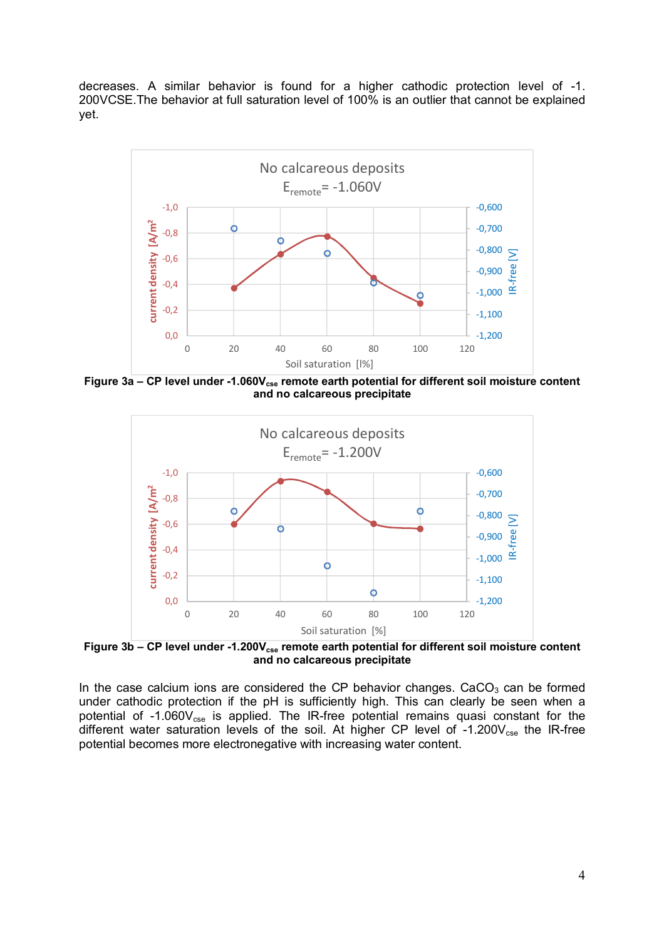decreases. A similar behavior is found for a higher cathodic protection level of -1. 200VCSE.The behavior at full saturation level of 100% is an outlier that cannot be explained yet.



Figure 3a - CP level under -1.060V<sub>cse</sub> remote earth potential for different soil moisture content **and no calcareous precipitate** 



**Figure 3b – CP level under -1.200Vcse remote earth potential for different soil moisture content and no calcareous precipitate** 

In the case calcium ions are considered the CP behavior changes.  $CaCO<sub>3</sub>$  can be formed under cathodic protection if the pH is sufficiently high. This can clearly be seen when a potential of  $-1.060V_{\text{cse}}$  is applied. The IR-free potential remains quasi constant for the different water saturation levels of the soil. At higher CP level of  $-1.200V_{cse}$  the IR-free potential becomes more electronegative with increasing water content.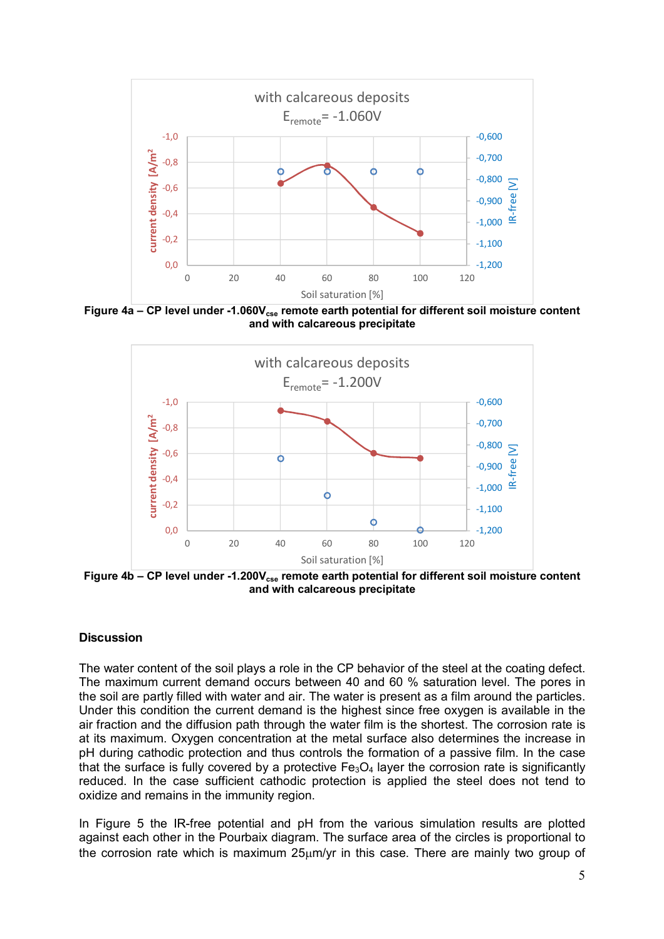

Figure 4a – CP level under -1.060V<sub>cse</sub> remote earth potential for different soil moisture content **and with calcareous precipitate** 



Figure 4b - CP level under -1.200V<sub>cse</sub> remote earth potential for different soil moisture content **and with calcareous precipitate** 

#### **Discussion**

The water content of the soil plays a role in the CP behavior of the steel at the coating defect. The maximum current demand occurs between 40 and 60 % saturation level. The pores in the soil are partly filled with water and air. The water is present as a film around the particles. Under this condition the current demand is the highest since free oxygen is available in the air fraction and the diffusion path through the water film is the shortest. The corrosion rate is at its maximum. Oxygen concentration at the metal surface also determines the increase in pH during cathodic protection and thus controls the formation of a passive film. In the case that the surface is fully covered by a protective  $Fe<sub>3</sub>O<sub>4</sub>$  layer the corrosion rate is significantly reduced. In the case sufficient cathodic protection is applied the steel does not tend to oxidize and remains in the immunity region.

In Figure 5 the IR-free potential and pH from the various simulation results are plotted against each other in the Pourbaix diagram. The surface area of the circles is proportional to the corrosion rate which is maximum 25µm/yr in this case. There are mainly two group of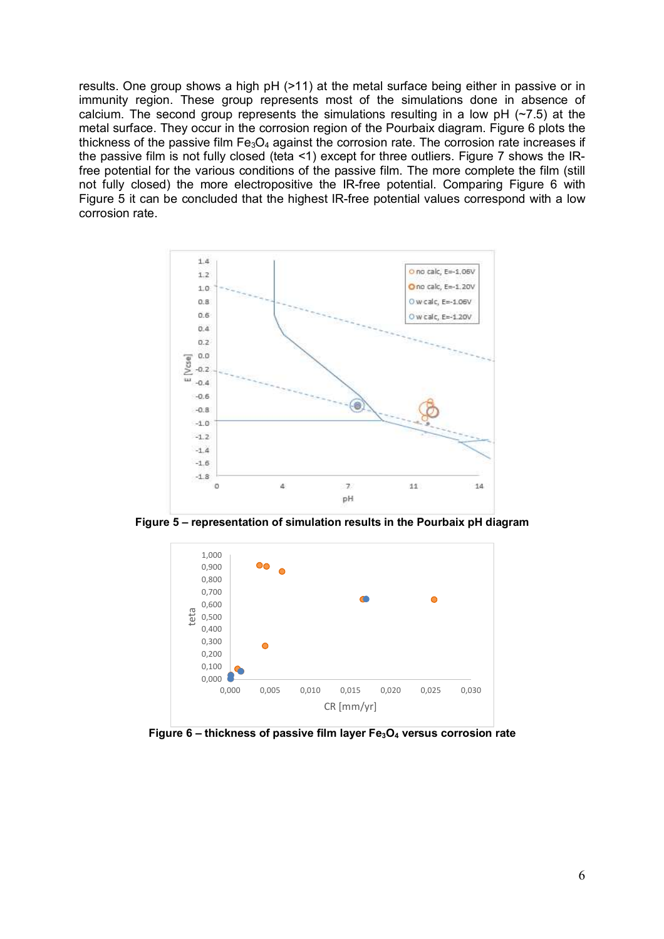results. One group shows a high pH (>11) at the metal surface being either in passive or in immunity region. These group represents most of the simulations done in absence of calcium. The second group represents the simulations resulting in a low pH  $(-7.5)$  at the metal surface. They occur in the corrosion region of the Pourbaix diagram. Figure 6 plots the thickness of the passive film  $Fe_3O_4$  against the corrosion rate. The corrosion rate increases if the passive film is not fully closed (teta <1) except for three outliers. Figure 7 shows the IRfree potential for the various conditions of the passive film. The more complete the film (still not fully closed) the more electropositive the IR-free potential. Comparing Figure 6 with Figure 5 it can be concluded that the highest IR-free potential values correspond with a low corrosion rate.



**Figure 5 – representation of simulation results in the Pourbaix pH diagram** 



**Figure 6 – thickness of passive film layer Fe3O4 versus corrosion rate**